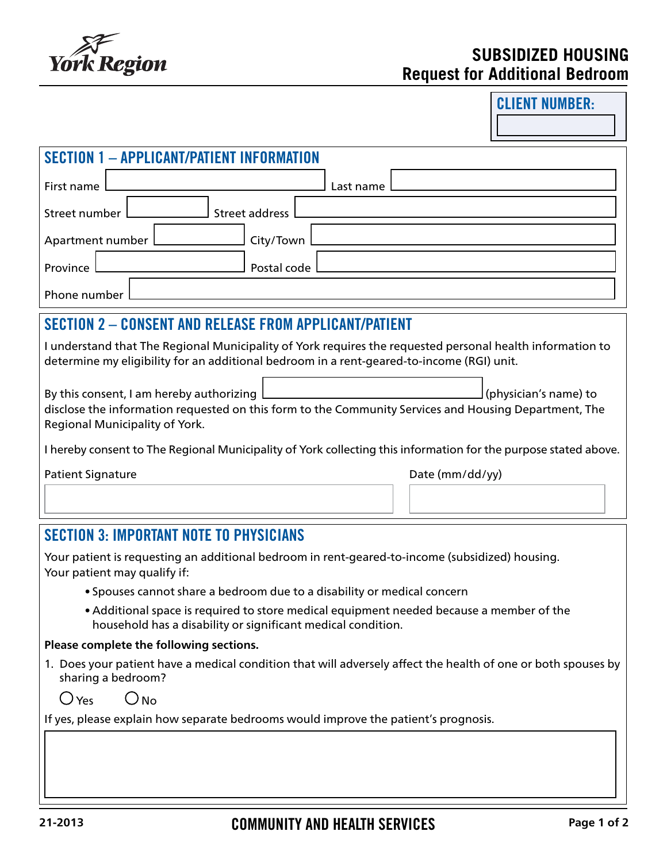

## **SUBSIDIZED HOUSING Request for Additional Bedroom**

CLIENT NUMBER:

| SECTION 1 - APPLICANT/PATIENT INFORMATION                                                                                                                                                                    |                 |  |  |  |
|--------------------------------------------------------------------------------------------------------------------------------------------------------------------------------------------------------------|-----------------|--|--|--|
| First name                                                                                                                                                                                                   | Last name       |  |  |  |
| Street number                                                                                                                                                                                                | Street address  |  |  |  |
| Apartment number                                                                                                                                                                                             | City/Town       |  |  |  |
| Province                                                                                                                                                                                                     | Postal code     |  |  |  |
| Phone number                                                                                                                                                                                                 |                 |  |  |  |
| <b>SECTION 2 - CONSENT AND RELEASE FROM APPLICANT/PATIENT</b>                                                                                                                                                |                 |  |  |  |
| I understand that The Regional Municipality of York requires the requested personal health information to<br>determine my eligibility for an additional bedroom in a rent-geared-to-income (RGI) unit.       |                 |  |  |  |
| By this consent, I am hereby authorizing<br>(physician's name) to<br>disclose the information requested on this form to the Community Services and Housing Department, The<br>Regional Municipality of York. |                 |  |  |  |
| I hereby consent to The Regional Municipality of York collecting this information for the purpose stated above.                                                                                              |                 |  |  |  |
| <b>Patient Signature</b>                                                                                                                                                                                     | Date (mm/dd/yy) |  |  |  |
|                                                                                                                                                                                                              |                 |  |  |  |
| <b>SECTION 3: IMPORTANT NOTE TO PHYSICIANS</b>                                                                                                                                                               |                 |  |  |  |
| Your patient is requesting an additional bedroom in rent-geared-to-income (subsidized) housing.<br>Your patient may qualify if:                                                                              |                 |  |  |  |
| • Spouses cannot share a bedroom due to a disability or medical concern                                                                                                                                      |                 |  |  |  |
| • Additional space is required to store medical equipment needed because a member of the<br>household has a disability or significant medical condition.                                                     |                 |  |  |  |
| Please complete the following sections.                                                                                                                                                                      |                 |  |  |  |
| 1. Does your patient have a medical condition that will adversely affect the health of one or both spouses by<br>sharing a bedroom?                                                                          |                 |  |  |  |
| $O_{\textsf{No}}$<br>$\bigcap$ Yes                                                                                                                                                                           |                 |  |  |  |
| If yes, please explain how separate bedrooms would improve the patient's prognosis.                                                                                                                          |                 |  |  |  |
|                                                                                                                                                                                                              |                 |  |  |  |
|                                                                                                                                                                                                              |                 |  |  |  |
|                                                                                                                                                                                                              |                 |  |  |  |
|                                                                                                                                                                                                              |                 |  |  |  |